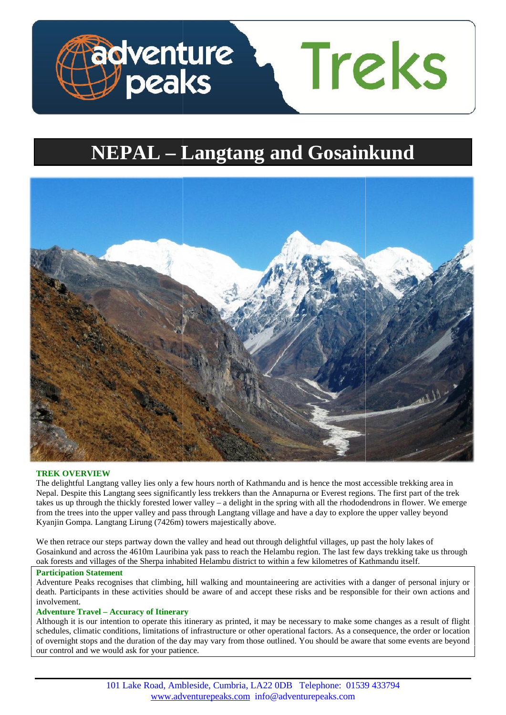

# **NEPAL – Langtang and Gosainkund**



# **TREK OVERVIEW**

The delightful Langtang valley lies only a few hours north of Kathmandu and is hence the most accessible trekking area in Nepal. Despite this Langtang sees significantly less trekkers than the Annapurna or Everest regions. The first part of the trek takes us up through the thickly forested lower valley – a delight in the spring with all the rhododendrons in flower. We emerge from the trees into the upper valley and pass through Langtang village and have a day to explore the upper valley beyond Kyanjin Gompa. Langtang Lirung (7426m) towers majestically above. The delightful Langtang valley lies only a few hours north of Kathmandu and is hence the most accessible trekking a Nepal. Despite this Langtang sees significantly less trekkers than the Annapurna or Everest regions. The f

We then retrace our steps partway down the valley and head out through delightful villages, up past the holy lakes of Gosainkund and across the 4610m Lauribina yak pass to reach the Helambu region. The last few days trekking take us through oak forests and villages of the Sherpa inhabited Helambu district to within a few kilometres of Kathmandu itself.

# **Participation Statement Statement**

Adventure Peaks recognises that climbing, hill walking and mountaineering are activities with a danger of personal injury or Adventure Peaks recognises that climbing, hill walking and mountaineering are activities with a danger of personal injury or death. Participants in these activities should be aware of and accept these risks and be responsi involvement.

### **Adventure Travel – Accuracy of Itinerary –**

Although it is our intention to operate this itinerary as printed, it may be necessary to make some changes as a result of flight schedules, climatic conditions, limitations of infrastructure or other operational factors. schedules, climatic conditions, limitations of infrastructure or other operational factors. As a consequence, the order or location of overnight stops and the duration of the day may vary from those outlined. You should be aware that some events are beyond our control and we would ask for your patience. schedules, climatic conditions, limitations of infrastructure or other operational factors. As a consequence, the order or location<br>of overnight stops and the duration of the day may vary from those outlined. You should be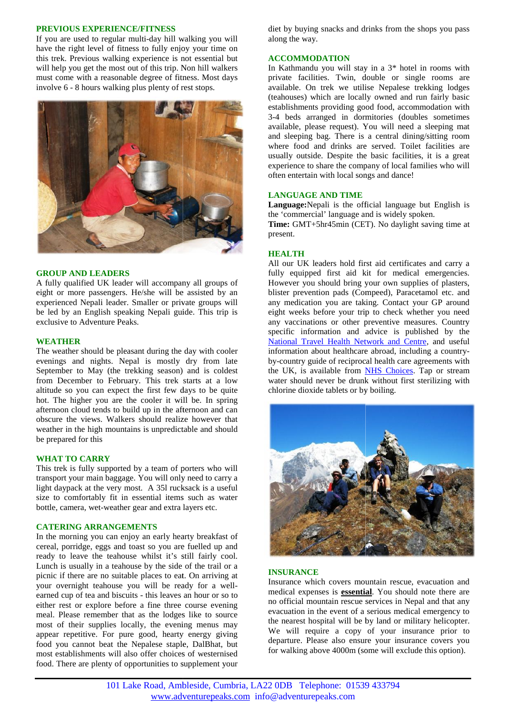## **PREVIOUS EXPERIENCE/FITNESS**

If you are used to regular multi-day hill walking you will have the right level of fitness to fully enjoy your time on this trek. Previous walking experience is not essential but will help you get the most out of this trip. Non hill walkers must come with a reasonable degree of fitness. Most days involve 6 - 8 hours walking plus plenty of rest stops.



## **GROUP AND LEADERS**

A fully qualified UK leader will accompany all groups of eight or more passengers. He/she will be assisted by an experienced Nepali leader. Smaller or private groups will be led by an English speaking Nepali guide. This trip is exclusive to Adventure Peaks.

### **WEATHER**

The weather should be pleasant during the day with cooler evenings and nights. Nepal is mostly dry from late September to May (the trekking season) and is coldest from December to February. This trek starts at a low altitude so you can expect the first few days to be quite hot. The higher you are the cooler it will be. In spring afternoon cloud tends to build up in the afternoon and can obscure the views. Walkers should realize however that weather in the high mountains is unpredictable and should<br>be prepared for this<br>WHAT TO CARRY be prepared for this September to May (the trekking season) and is coldest<br>from December to February. This trek starts at a low<br>altitude so you can expect the first few days to be quite<br>hot. The higher you are the cooler it will be. In spring

## **WHAT TO CARRY**

This trek is fully supported by a team of porters who will transport your main baggage. You will only need to carry a light daypack at the very most. A 35l rucksack is a useful size to comfortably fit in essential items such as water bottle, camera, wet-weather gear and extra layers etc. This trek is fully supported by a team of porters who will transport your main baggage. You will only need to carry a light daypack at the very most. A 351 rucksack is a useful size to comfortably fit in essential items su

## **CATERING ARRANGEMENTS**

In the morning you can enjoy an early hearty breakfast of cereal, porridge, eggs and toast so you are fuelled up and ready to leave the teahouse whilst it's still fairly cool. Lunch is usually in a teahouse by the side of the trail or a picnic if there are no suitable places to eat. On arriving at your overnight teahouse you will be ready for a well earned cup of tea and biscuits - this leaves an hour or so to either rest or explore before a fine three course evening meal. Please remember that as the lodges like to source most of their supplies locally, the evening menus may appear repetitive. For pure good, hearty energy giving food you cannot beat the Nepalese staple, DalBhat, but most establishments will also offer choices of westernised food. There are plenty of opportunities to supplement your

diet by buying snacks and drinks from the shops you pass along the way.

# **ACCOMMODATION**

In Kathmandu you will stay in a 3\* hotel in rooms with private facilities. Twin, double or single rooms are available. On trek we utilise Nepalese trekking lodges (teahouses) which are locally owned and run fairly basic establishments providing good food, accommodation with 3-4 beds arranged in dormitories (doubles sometimes available, please request). You will need a sleeping mat and sleeping bag. There is a central dining/sitting room where food and drinks are served. Toilet facilities are usually outside. Despite the basic facilities, it is a great experience to share the company of local families who will often entertain with local songs and dance!

# **LANGUAGE AND TIME**

**Language:**Nepali is the official language but English is the 'commercial' language and is widely spoken.

**Time:** GMT+5hr45min (CET). No daylight saving time at present.

# **HEALTH**

All our UK leaders hold first aid certificates and carry a fully equipped first aid kit for medical emergencies. However you should bring your own supplies of plasters, blister prevention pads (Compeed), Paracetamol etc. and any medication you are taking. Contact your GP around eight weeks before your trip to check whether you need any vaccinations or other preventive measures. Country specific information and advice is published by the National Travel Health Network and Centre, and useful information about healthcare abroad, including a country by-country guide of reciprocal health care agreements with the UK, is available from **NHS** Choices. Tap or stream water should never be drunk without first sterilizing with chlorine dioxide tablets or by boiling.



# **INSURANCE**

Insurance which covers mountain rescue, evacuation and medical expenses is **essential**. You should note there are no official mountain rescue services in Nepal and that any evacuation in the event of a serious medical emergency to the nearest hospital will be by land or military helicopter. We will require a copy of your insurance prior to departure. Please also ensure your insurance covers you for walking above 4000m (some will exclude this option).

101 Lake Road, Ambleside, Cumbria, LA22 0DB Telephone: 01539 433794 www.adventurepeaks.com info@adventurepeaks.com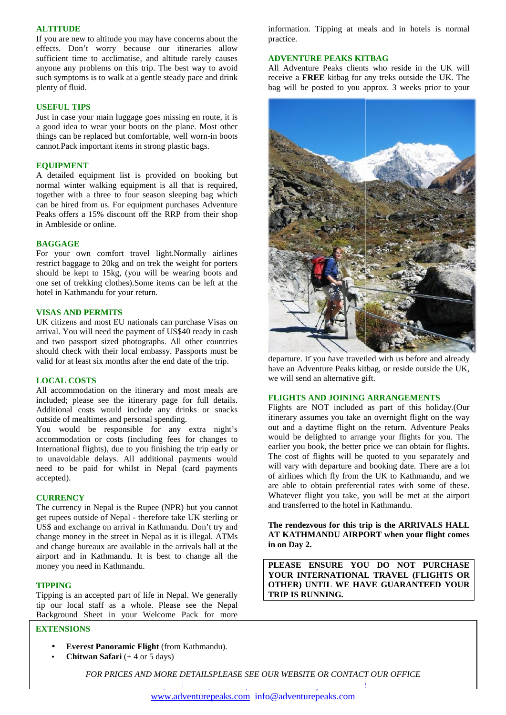## **ALTITUDE**

If you are new to altitude you may have concerns about the effects. Don't worry because our itineraries allow sufficient time to acclimatise, and altitude rarely causes anyone any problems on this trip. The best way to avoid such symptoms is to walk at a gentle steady pace and drink plenty of fluid. ient time to acclimatise, and altitude rarely causes<br>the any problems on this trip. The best way to avoid<br>symptoms is to walk at a gentle steady pace and drink

#### **USEFUL TIPS USEFUL TIPS**

Just in case your main luggage goes missing en route, it is a good idea to wear your boots on the plane. Most other things can be replaced but comfortable, well worn-in boots cannot.Pack important items in strong plastic bags. Just in case your main luggage goes missing en route, it is<br>a good idea to wear your boots on the plane. Most other<br>things can be replaced but comfortable, well worn-in boots<br>cannot.Pack important items in strong plastic b

## **EQUIPMENT**

A detailed equipment list is provided on booking but normal winter walking equipment is all that is required, together with a three to four season sleeping bag which can be hired from us. For equipment purchases Adventure Peaks offers a 15% discount off the RRP from their shop in Ambleside or online. together with a three to four season<br>can be hired from us. For equipment p<br>Peaks offers a 15% discount off the I<br>in Ambleside or online.<br>**BAGGAGE**<br>For your own comfort travel light

### **BAGGAGE**

For your own comfort travel light.Normally airlines restrict baggage to 20kg and on trek the weight for porters should be kept to 15kg, (you will be wearing boots and one set of trekking clothes).Some items can be left at the hotel in Kathmandu for your return. restrict baggage to 20kg and on trek the weight for por<br>should be kept to 15kg, (you will be wearing boots<br>one set of trekking clothes).Some items can be left at

#### **VISAS AND PERMITS VISAS**

UK citizens and most EU nationals can purchase Visas on arrival. You will need the payment of US\$40 ready in cash and two passport sized photographs. All other countries should check with their local embassy. Passports must be valid for at least six months after the end date of the trip. UK citizens and most EU nationals can purch<br>arrival. You will need the payment of US\$40 and two passport sized photographs. All otl<br>should check with their local embassy. Passp<br>valid for at least six months after the end d

### **LOCAL COSTS LOCAL COSTS**

All accommodation on the itinerary and most meals are included; please see the itinerary page for full details. included; please see the itinerary page for full details.<br>Additional costs would include any drinks or snacks outside of mealtimes and personal spending.

You would be responsible for any extra night's accommodation or costs (including fees for changes to International flights), due to you finishing the trip early or to unavoidable delays. All additional payments would need to be paid for whilst in Nepal (card payments accepted).

## **CURRENCY**

The currency in Nepal is the Rupee (NPR) but you cannot get rupees outside of Nepal - therefore take UK sterling or US\$ and exchange on arrival in Kathmandu. Don't try and change money in the street in Nepal as it is illegal. ATMs and change bureaux are available in the arrivals hall at the airport and in Kathmandu. It is best to change all the money you need in Kathmandu.

#### **TIPPING**

Tipping is an accepted part of life in Nepal. We generally tip our local staff as a whole. Please see the Nepal Background Sheet in your Welcome Pack for more

# **EXTENSIONS**

- **Everest Panoramic Flight** (from Kathmandu).
- **Chitwan Safari** (+ 4 or 5 days)

information. Tipping at meals and in hotels is normal practice.

# **ADVENTURE PEAKS KITBAG**

All Adventure Peaks clients who reside in the UK will receive a **FREE** kitbag for any treks outside the UK. The bag will be posted to you approx. 3 weeks prior to your



departure. If you have travelled with us before and already have an Adventure Peaks kitbag, or reside outside the UK, we will send an alternative gift.

# **FLIGHTS AND JOINING ARRANGEMENTS**

Flights are NOT included as part of this holiday.(Our itinerary assumes you take an overnight flight on the way out and a daytime flight on the return. Adventure Peaks would be delighted to arrange your flights for you. The earlier you book, the better price we can obtain for flights. The cost of flights will be quoted to you separately and will vary with departure and booking date. There are a lot of airlines which fly from the UK to Kathmandu, and we are able to obtain preferential rates with some of these. Whatever flight you take, you will be met at the airport and transferred to the hotel in Kathmandu.

**The rendezvous for this trip is the ARRIVALS HALL AT KATHMANDU AIRPORT when your flight comes in on Day 2.**

**PLEASE ENSURE YOU DO NOT PURCHASE YOUR INTERNATIONAL TRAVEL (FLIGHTS OR OTHER) UNTIL WE HAVE GUARANTEED YOUR TRIP IS RUNNING.**

*FOR PRICES AND MORE DETAILSPLEASE SEE OUR WEBSITE OR CONTACT OUR OFFICE CONTACT* 

101 Lake Road, Ambleside, Cumbria, LA22 0DB Telephone: 01539 433794